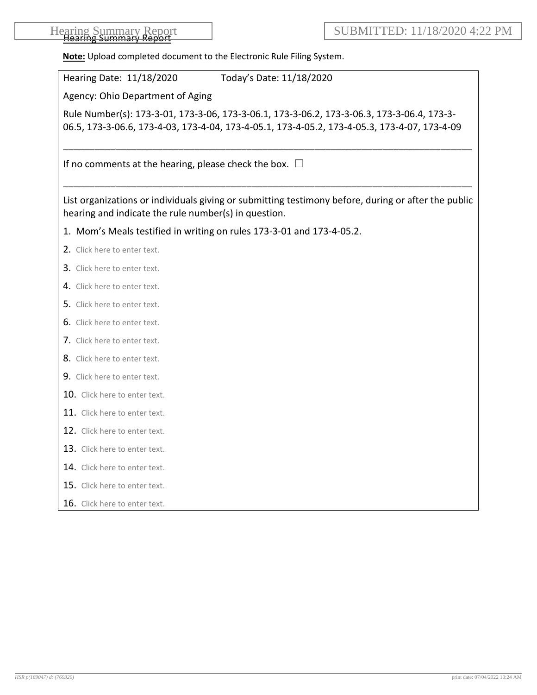| <b>Hearing Summary Report</b> |  |
|-------------------------------|--|
| Hoarma Summary Ronorf         |  |
| <b>TIGUTHIA JUITHINI Y</b>    |  |

**Note:** Upload completed document to the Electronic Rule Filing System.

| Hearing Date: 11/18/2020<br>Today's Date: 11/18/2020                                                                                                                                       |
|--------------------------------------------------------------------------------------------------------------------------------------------------------------------------------------------|
| Agency: Ohio Department of Aging                                                                                                                                                           |
| Rule Number(s): 173-3-01, 173-3-06, 173-3-06.1, 173-3-06.2, 173-3-06.3, 173-3-06.4, 173-3-<br>06.5, 173-3-06.6, 173-4-03, 173-4-04, 173-4-05.1, 173-4-05.2, 173-4-05.3, 173-4-07, 173-4-09 |
| If no comments at the hearing, please check the box. $\square$                                                                                                                             |
| List organizations or individuals giving or submitting testimony before, during or after the public<br>hearing and indicate the rule number(s) in question.                                |
| 1. Mom's Meals testified in writing on rules 173-3-01 and 173-4-05.2.                                                                                                                      |
| 2. Click here to enter text.                                                                                                                                                               |
| 3. Click here to enter text.                                                                                                                                                               |
| 4. Click here to enter text.                                                                                                                                                               |
| 5. Click here to enter text.                                                                                                                                                               |
| 6. Click here to enter text.                                                                                                                                                               |
| 7. Click here to enter text.                                                                                                                                                               |
| 8. Click here to enter text.                                                                                                                                                               |
| 9. Click here to enter text.                                                                                                                                                               |
| 10. Click here to enter text.                                                                                                                                                              |
| 11. Click here to enter text.                                                                                                                                                              |
| 12. Click here to enter text.                                                                                                                                                              |
| 13. Click here to enter text.                                                                                                                                                              |
| 14. Click here to enter text.                                                                                                                                                              |
| 15. Click here to enter text.                                                                                                                                                              |
| 16. Click here to enter text.                                                                                                                                                              |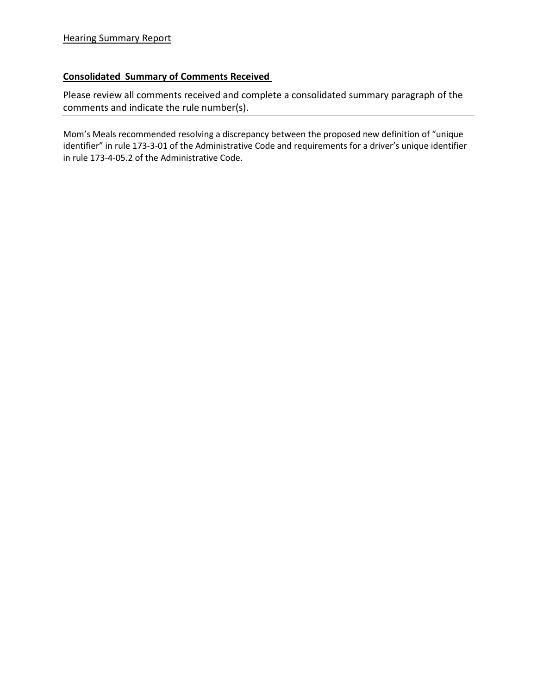## **Consolidated Summary of Comments Received**

Please review all comments received and complete a consolidated summary paragraph of the comments and indicate the rule number(s).

Mom's Meals recommended resolving a discrepancy between the proposed new definition of "unique identifier" in rule 173-3-01 of the Administrative Code and requirements for a driver's unique identifier in rule 173-4-05.2 of the Administrative Code.